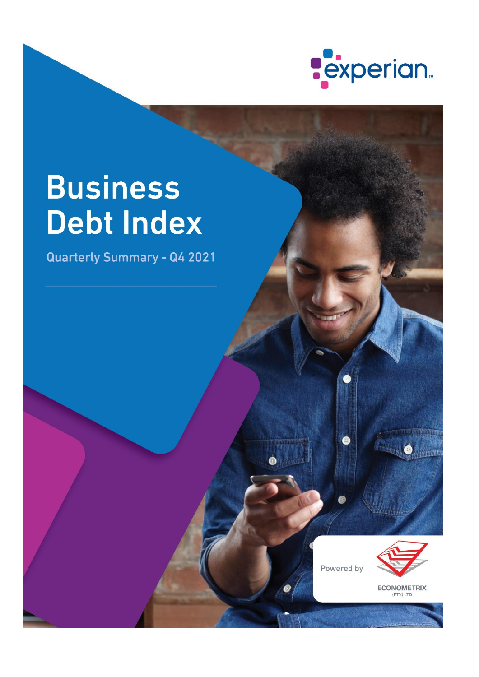

# **Business Debt Index**

**Quarterly Summary - Q4 2021** 

Powered by

 $\bullet$ 



**ECONOMETRIX**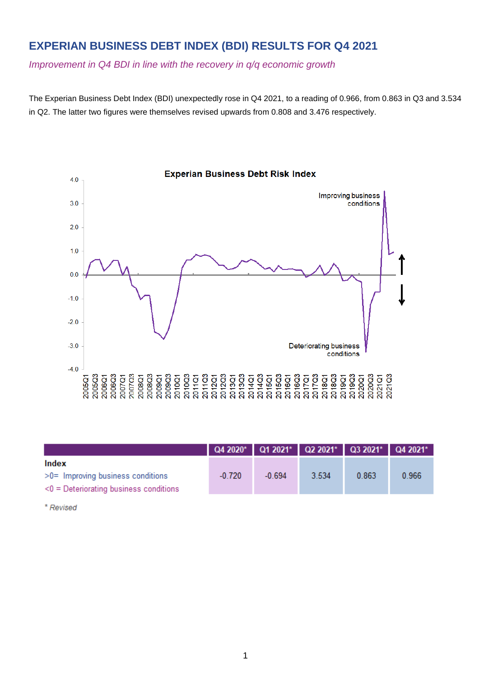# **EXPERIAN BUSINESS DEBT INDEX (BDI) RESULTS FOR Q4 2021**

*Improvement in Q4 BDI in line with the recovery in q/q economic growth*

The Experian Business Debt Index (BDI) unexpectedly rose in Q4 2021, to a reading of 0.966, from 0.863 in Q3 and 3.534 in Q2. The latter two figures were themselves revised upwards from 0.808 and 3.476 respectively.



| Index                                     |          |          |       |       |       |
|-------------------------------------------|----------|----------|-------|-------|-------|
| $>0$ = Improving business conditions      | $-0.720$ | $-0.694$ | 3.534 | 0.863 | 0.966 |
| $<$ 0 = Deteriorating business conditions |          |          |       |       |       |

\* Revised

#### **Experian Business Debt Risk Index**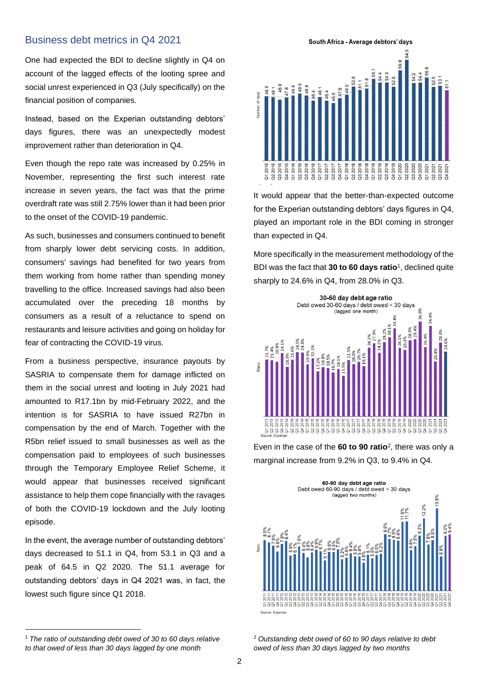#### Business debt metrics in Q4 2021

One had expected the BDI to decline slightly in Q4 on account of the lagged effects of the looting spree and social unrest experienced in Q3 (July specifically) on the financial position of companies.

Instead, based on the Experian outstanding debtors' days figures, there was an unexpectedly modest improvement rather than deterioration in Q4.

Even though the repo rate was increased by 0.25% in November, representing the first such interest rate increase in seven years, the fact was that the prime overdraft rate was still 2.75% lower than it had been prior to the onset of the COVID-19 pandemic.

As such, businesses and consumers continued to benefit from sharply lower debt servicing costs. In addition, consumers' savings had benefited for two years from them working from home rather than spending money travelling to the office. Increased savings had also been accumulated over the preceding 18 months by consumers as a result of a reluctance to spend on restaurants and leisure activities and going on holiday for fear of contracting the COVID-19 virus.

From a business perspective, insurance payouts by SASRIA to compensate them for damage inflicted on them in the social unrest and looting in July 2021 had amounted to R17.1bn by mid-February 2022, and the intention is for SASRIA to have issued R27bn in compensation by the end of March. Together with the R5bn relief issued to small businesses as well as the compensation paid to employees of such businesses through the Temporary Employee Relief Scheme, it would appear that businesses received significant assistance to help them cope financially with the ravages of both the COVID-19 lockdown and the July looting episode.

In the event, the average number of outstanding debtors' days decreased to 51.1 in Q4, from 53.1 in Q3 and a peak of 64.5 in Q2 2020. The 51.1 average for outstanding debtors' days in Q4 2021 was, in fact, the lowest such figure since Q1 2018.

South Africa - Average debtors' days



It would appear that the better-than-expected outcome for the Experian outstanding debtors' days figures in Q4, played an important role in the BDI coming in stronger than expected in Q4.

More specifically in the measurement methodology of the BDI was the fact that **30 to 60 days ratio**<sup>1</sup> , declined quite sharply to 24.6% in Q4, from 28.0% in Q3.



Even in the case of the **60 to 90 ratio**<sup>2</sup> , there was only a marginal increase from 9.2% in Q3, to 9.4% in Q4.



<sup>1</sup> *The ratio of outstanding debt owed of 30 to 60 days relative to that owed of less than 30 days lagged by one month*

<sup>2</sup> *Outstanding debt owed of 60 to 90 days relative to debt owed of less than 30 days lagged by two months*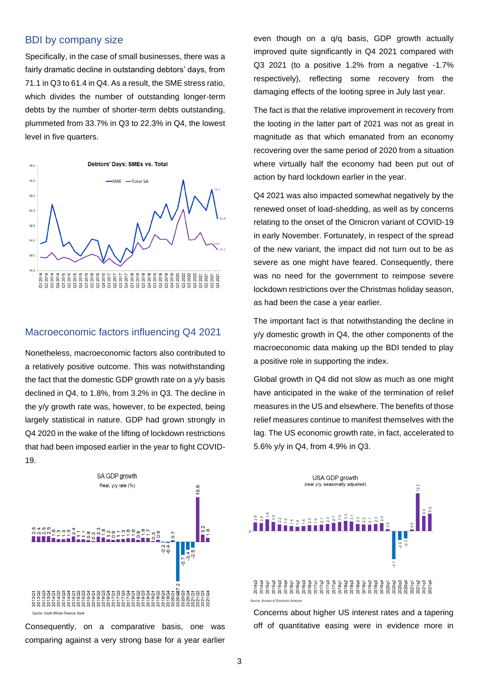#### BDI by company size

Specifically, in the case of small businesses, there was a fairly dramatic decline in outstanding debtors' days, from 71.1 in Q3 to 61.4 in Q4. As a result, the SME stress ratio, which divides the number of outstanding longer-term debts by the number of shorter-term debts outstanding, plummeted from 33.7% in Q3 to 22.3% in Q4, the lowest level in five quarters.



#### Macroeconomic factors influencing Q4 2021

Nonetheless, macroeconomic factors also contributed to a relatively positive outcome. This was notwithstanding the fact that the domestic GDP growth rate on a y/y basis declined in Q4, to 1.8%, from 3.2% in Q3. The decline in the y/y growth rate was, however, to be expected, being largely statistical in nature. GDP had grown strongly in Q4 2020 in the wake of the lifting of lockdown restrictions that had been imposed earlier in the year to fight COVID-19.

SA GDP growth Real, y/y rate (%) 9.6  $\frac{2}{3}$   $\frac{2}{9}$ 2 4 5 6 6 7 8 9 7 8 7 27  $-0.2$ Source: South African Reserve Ban

Consequently, on a comparative basis, one was comparing against a very strong base for a year earlier

even though on a q/q basis, GDP growth actually improved quite significantly in Q4 2021 compared with Q3 2021 (to a positive 1.2% from a negative -1.7% respectively), reflecting some recovery from the damaging effects of the looting spree in July last year.

The fact is that the relative improvement in recovery from the looting in the latter part of 2021 was not as great in magnitude as that which emanated from an economy recovering over the same period of 2020 from a situation where virtually half the economy had been put out of action by hard lockdown earlier in the year.

Q4 2021 was also impacted somewhat negatively by the renewed onset of load-shedding, as well as by concerns relating to the onset of the Omicron variant of COVID-19 in early November. Fortunately, in respect of the spread of the new variant, the impact did not turn out to be as severe as one might have feared. Consequently, there was no need for the government to reimpose severe lockdown restrictions over the Christmas holiday season, as had been the case a year earlier.

The important fact is that notwithstanding the decline in y/y domestic growth in Q4, the other components of the macroeconomic data making up the BDI tended to play a positive role in supporting the index.

Global growth in Q4 did not slow as much as one might have anticipated in the wake of the termination of relief measures in the US and elsewhere. The benefits of those relief measures continue to manifest themselves with the lag. The US economic growth rate, in fact, accelerated to 5.6% y/y in Q4, from 4.9% in Q3.



Concerns about higher US interest rates and a tapering off of quantitative easing were in evidence more in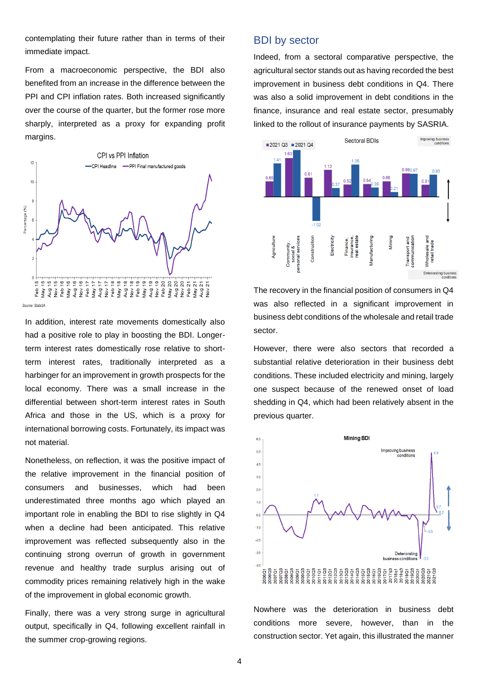contemplating their future rather than in terms of their immediate impact.

From a macroeconomic perspective, the BDI also benefited from an increase in the difference between the PPI and CPI inflation rates. Both increased significantly over the course of the quarter, but the former rose more sharply, interpreted as a proxy for expanding profit margins.



Source: StatsS

In addition, interest rate movements domestically also had a positive role to play in boosting the BDI. Longerterm interest rates domestically rose relative to shortterm interest rates, traditionally interpreted as a harbinger for an improvement in growth prospects for the local economy. There was a small increase in the differential between short-term interest rates in South Africa and those in the US, which is a proxy for international borrowing costs. Fortunately, its impact was not material.

Nonetheless, on reflection, it was the positive impact of the relative improvement in the financial position of consumers and businesses, which had been underestimated three months ago which played an important role in enabling the BDI to rise slightly in Q4 when a decline had been anticipated. This relative improvement was reflected subsequently also in the continuing strong overrun of growth in government revenue and healthy trade surplus arising out of commodity prices remaining relatively high in the wake of the improvement in global economic growth.

Finally, there was a very strong surge in agricultural output, specifically in Q4, following excellent rainfall in the summer crop-growing regions.

#### BDI by sector

Indeed, from a sectoral comparative perspective, the agricultural sector stands out as having recorded the best improvement in business debt conditions in Q4. There was also a solid improvement in debt conditions in the finance, insurance and real estate sector, presumably linked to the rollout of insurance payments by SASRIA.



The recovery in the financial position of consumers in Q4 was also reflected in a significant improvement in business debt conditions of the wholesale and retail trade sector.

However, there were also sectors that recorded a substantial relative deterioration in their business debt conditions. These included electricity and mining, largely one suspect because of the renewed onset of load shedding in Q4, which had been relatively absent in the previous quarter.



Nowhere was the deterioration in business debt conditions more severe, however, than in the construction sector. Yet again, this illustrated the manner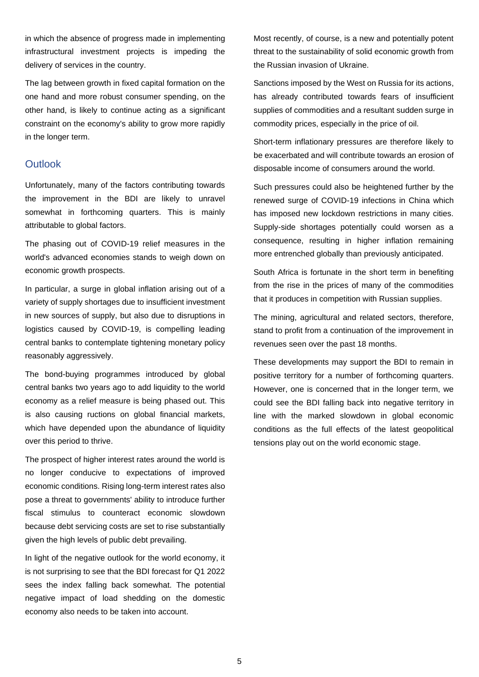in which the absence of progress made in implementing infrastructural investment projects is impeding the delivery of services in the country.

The lag between growth in fixed capital formation on the one hand and more robust consumer spending, on the other hand, is likely to continue acting as a significant constraint on the economy's ability to grow more rapidly in the longer term.

#### **Outlook**

Unfortunately, many of the factors contributing towards the improvement in the BDI are likely to unravel somewhat in forthcoming quarters. This is mainly attributable to global factors.

The phasing out of COVID-19 relief measures in the world's advanced economies stands to weigh down on economic growth prospects.

In particular, a surge in global inflation arising out of a variety of supply shortages due to insufficient investment in new sources of supply, but also due to disruptions in logistics caused by COVID-19, is compelling leading central banks to contemplate tightening monetary policy reasonably aggressively.

The bond-buying programmes introduced by global central banks two years ago to add liquidity to the world economy as a relief measure is being phased out. This is also causing ructions on global financial markets, which have depended upon the abundance of liquidity over this period to thrive.

The prospect of higher interest rates around the world is no longer conducive to expectations of improved economic conditions. Rising long-term interest rates also pose a threat to governments' ability to introduce further fiscal stimulus to counteract economic slowdown because debt servicing costs are set to rise substantially given the high levels of public debt prevailing.

In light of the negative outlook for the world economy, it is not surprising to see that the BDI forecast for Q1 2022 sees the index falling back somewhat. The potential negative impact of load shedding on the domestic economy also needs to be taken into account.

Most recently, of course, is a new and potentially potent threat to the sustainability of solid economic growth from the Russian invasion of Ukraine.

Sanctions imposed by the West on Russia for its actions, has already contributed towards fears of insufficient supplies of commodities and a resultant sudden surge in commodity prices, especially in the price of oil.

Short-term inflationary pressures are therefore likely to be exacerbated and will contribute towards an erosion of disposable income of consumers around the world.

Such pressures could also be heightened further by the renewed surge of COVID-19 infections in China which has imposed new lockdown restrictions in many cities. Supply-side shortages potentially could worsen as a consequence, resulting in higher inflation remaining more entrenched globally than previously anticipated.

South Africa is fortunate in the short term in benefiting from the rise in the prices of many of the commodities that it produces in competition with Russian supplies.

The mining, agricultural and related sectors, therefore, stand to profit from a continuation of the improvement in revenues seen over the past 18 months.

These developments may support the BDI to remain in positive territory for a number of forthcoming quarters. However, one is concerned that in the longer term, we could see the BDI falling back into negative territory in line with the marked slowdown in global economic conditions as the full effects of the latest geopolitical tensions play out on the world economic stage.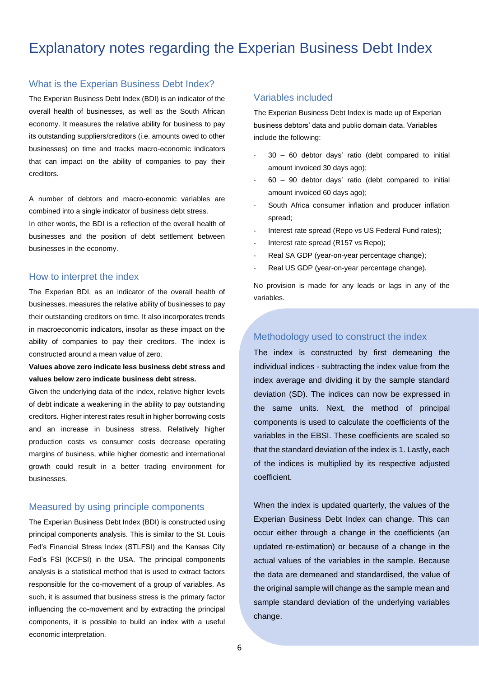# Explanatory notes regarding the Experian Business Debt Index

#### What is the Experian Business Debt Index?

The Experian Business Debt Index (BDI) is an indicator of the overall health of businesses, as well as the South African economy. It measures the relative ability for business to pay its outstanding suppliers/creditors (i.e. amounts owed to other businesses) on time and tracks macro-economic indicators that can impact on the ability of companies to pay their creditors.

A number of debtors and macro-economic variables are combined into a single indicator of business debt stress.

In other words, the BDI is a reflection of the overall health of businesses and the position of debt settlement between businesses in the economy.

#### How to interpret the index

The Experian BDI, as an indicator of the overall health of businesses, measures the relative ability of businesses to pay their outstanding creditors on time. It also incorporates trends in macroeconomic indicators, insofar as these impact on the ability of companies to pay their creditors. The index is constructed around a mean value of zero.

#### **Values above zero indicate less business debt stress and values below zero indicate business debt stress.**

Given the underlying data of the index, relative higher levels of debt indicate a weakening in the ability to pay outstanding creditors. Higher interest rates result in higher borrowing costs and an increase in business stress. Relatively higher production costs vs consumer costs decrease operating margins of business, while higher domestic and international growth could result in a better trading environment for businesses.

#### Measured by using principle components

The Experian Business Debt Index (BDI) is constructed using principal components analysis. This is similar to the St. Louis Fed's Financial Stress Index (STLFSI) and the Kansas City Fed's FSI (KCFSI) in the USA. The principal components analysis is a statistical method that is used to extract factors responsible for the co-movement of a group of variables. As such, it is assumed that business stress is the primary factor influencing the co-movement and by extracting the principal components, it is possible to build an index with a useful economic interpretation.

#### Variables included

The Experian Business Debt Index is made up of Experian business debtors' data and public domain data. Variables include the following:

- $30 60$  debtor days' ratio (debt compared to initial amount invoiced 30 days ago);
- $60 90$  debtor days' ratio (debt compared to initial amount invoiced 60 days ago);
- South Africa consumer inflation and producer inflation spread;
- Interest rate spread (Repo vs US Federal Fund rates):
- Interest rate spread (R157 vs Repo);
- Real SA GDP (year-on-year percentage change);
- Real US GDP (year-on-year percentage change).

No provision is made for any leads or lags in any of the variables.

#### Methodology used to construct the index

The index is constructed by first demeaning the individual indices - subtracting the index value from the index average and dividing it by the sample standard deviation (SD). The indices can now be expressed in the same units. Next, the method of principal components is used to calculate the coefficients of the variables in the EBSI. These coefficients are scaled so that the standard deviation of the index is 1. Lastly, each of the indices is multiplied by its respective adjusted coefficient.

When the index is updated quarterly, the values of the Experian Business Debt Index can change. This can occur either through a change in the coefficients (an updated re-estimation) or because of a change in the actual values of the variables in the sample. Because the data are demeaned and standardised, the value of the original sample will change as the sample mean and sample standard deviation of the underlying variables change.